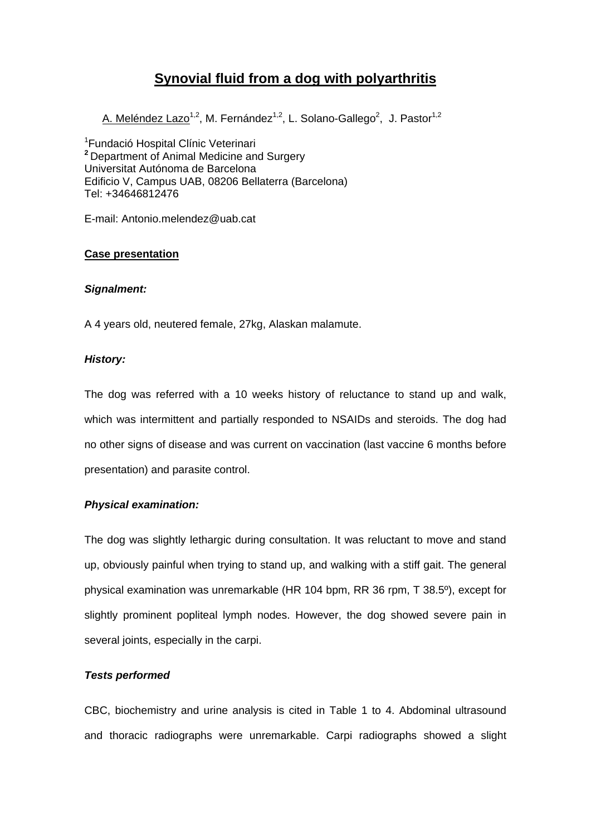# **Synovial fluid from a dog with polyarthritis**

A. Meléndez Lazo<sup>1,2</sup>, M. Fernández<sup>1,2</sup>, L. Solano-Gallego<sup>2</sup>, J. Pastor<sup>1,2</sup>

1 Fundació Hospital Clínic Veterinari **<sup>2</sup>**Department of Animal Medicine and Surgery Universitat Autónoma de Barcelona Edificio V, Campus UAB, 08206 Bellaterra (Barcelona) Tel: +34646812476

E-mail: Antonio.melendez@uab.cat

### **Case presentation**

#### *Signalment:*

A 4 years old, neutered female, 27kg, Alaskan malamute.

### *History:*

The dog was referred with a 10 weeks history of reluctance to stand up and walk, which was intermittent and partially responded to NSAIDs and steroids. The dog had no other signs of disease and was current on vaccination (last vaccine 6 months before presentation) and parasite control.

### *Physical examination:*

The dog was slightly lethargic during consultation. It was reluctant to move and stand up, obviously painful when trying to stand up, and walking with a stiff gait. The general physical examination was unremarkable (HR 104 bpm, RR 36 rpm, T 38.5º), except for slightly prominent popliteal lymph nodes. However, the dog showed severe pain in several joints, especially in the carpi.

### *Tests performed*

CBC, biochemistry and urine analysis is cited in Table 1 to 4. Abdominal ultrasound and thoracic radiographs were unremarkable. Carpi radiographs showed a slight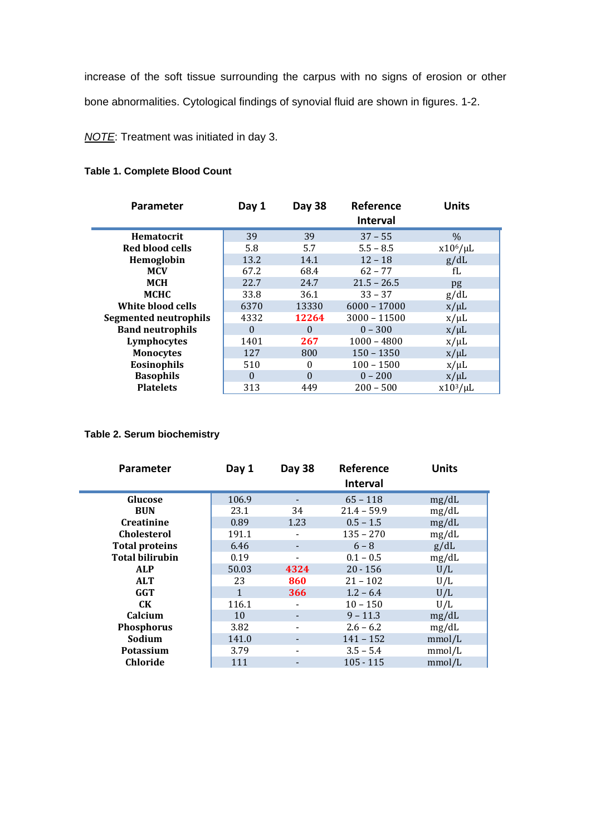increase of the soft tissue surrounding the carpus with no signs of erosion or other bone abnormalities. Cytological findings of synovial fluid are shown in figures. 1-2.

*NOTE*: Treatment was initiated in day 3.

# **Table 1. Complete Blood Count**

| Parameter                    | Day 1    | <b>Day 38</b> | Reference       | <b>Units</b>  |
|------------------------------|----------|---------------|-----------------|---------------|
|                              |          |               | <b>Interval</b> |               |
| <b>Hematocrit</b>            | 39       | 39            | $37 - 55$       | $\%$          |
| Red blood cells              | 5.8      | 5.7           | $5.5 - 8.5$     | $x10^6/\mu L$ |
| Hemoglobin                   | 13.2     | 14.1          | $12 - 18$       | g/dL          |
| <b>MCV</b>                   | 67.2     | 68.4          | $62 - 77$       | fL            |
| <b>MCH</b>                   | 22.7     | 24.7          | $21.5 - 26.5$   | pg            |
| <b>MCHC</b>                  | 33.8     | 36.1          | $33 - 37$       | g/dL          |
| White blood cells            | 6370     | 13330         | $6000 - 17000$  | $x/\mu L$     |
| <b>Segmented neutrophils</b> | 4332     | 12264         | $3000 - 11500$  | $x/\mu L$     |
| <b>Band neutrophils</b>      | $\theta$ | $\Omega$      | $0 - 300$       | $x/\mu L$     |
| Lymphocytes                  | 1401     | 267           | $1000 - 4800$   | $x/\mu L$     |
| <b>Monocytes</b>             | 127      | 800           | $150 - 1350$    | $x/\mu L$     |
| Eosinophils                  | 510      | $\Omega$      | $100 - 1500$    | $x/\mu L$     |
| <b>Basophils</b>             | $\Omega$ | $\Omega$      | $0 - 200$       | $x/\mu L$     |
| <b>Platelets</b>             | 313      | 449           | $200 - 500$     | $x10^3/\mu L$ |

# **Table 2. Serum biochemistry**

| <b>Parameter</b>       | Day 1        | Day 38 | Reference<br><b>Interval</b> | <b>Units</b> |
|------------------------|--------------|--------|------------------------------|--------------|
| Glucose                | 106.9        |        | $65 - 118$                   | mg/dL        |
| <b>BUN</b>             | 23.1         | 34     | $21.4 - 59.9$                | mg/dL        |
| <b>Creatinine</b>      | 0.89         | 1.23   | $0.5 - 1.5$                  | mg/dL        |
| <b>Cholesterol</b>     | 191.1        |        | $135 - 270$                  | mg/dL        |
| <b>Total proteins</b>  | 6.46         |        | $6 - 8$                      | g/dL         |
| <b>Total bilirubin</b> | 0.19         |        | $0.1 - 0.5$                  | mg/dL        |
| <b>ALP</b>             | 50.03        | 4324   | $20 - 156$                   | U/L          |
| <b>ALT</b>             | 23           | 860    | $21 - 102$                   | U/L          |
| GGT                    | $\mathbf{1}$ | 366    | $1.2 - 6.4$                  | U/L          |
| CK.                    | 116.1        |        | $10 - 150$                   | U/L          |
| Calcium                | 10           |        | $9 - 11.3$                   | mg/dL        |
| <b>Phosphorus</b>      | 3.82         |        | $2.6 - 6.2$                  | mg/dL        |
| Sodium                 | 141.0        |        | $141 - 152$                  | mmol/L       |
| <b>Potassium</b>       | 3.79         |        | $3.5 - 5.4$                  | mmol/L       |
| <b>Chloride</b>        | 111          |        | $105 - 115$                  | mmol/L       |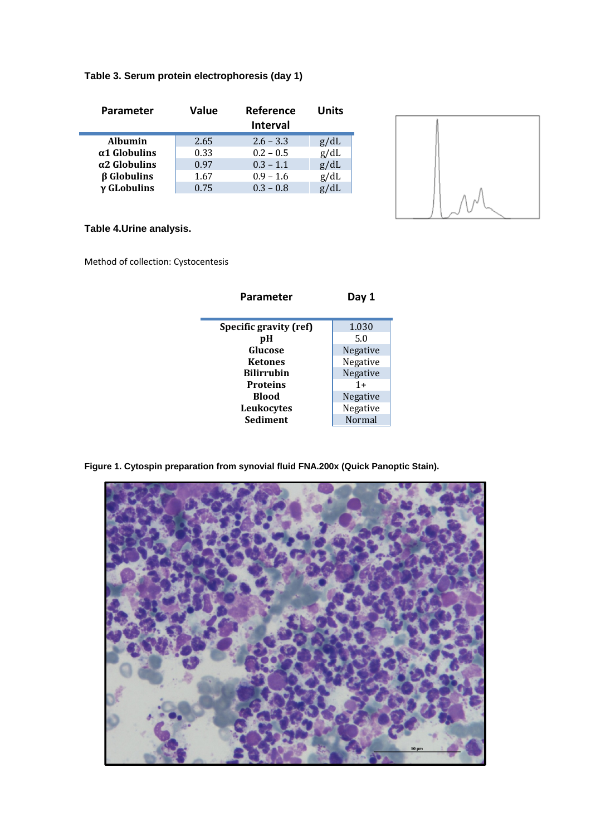# **Table 3. Serum protein electrophoresis (day 1)**

| Parameter            | Value | Reference       | Units |
|----------------------|-------|-----------------|-------|
|                      |       | <b>Interval</b> |       |
| <b>Albumin</b>       | 2.65  | $2.6 - 3.3$     | g/dL  |
| $\alpha$ 1 Globulins | 0.33  | $0.2 - 0.5$     | g/dL  |
| $\alpha$ 2 Globulins | 0.97  | $0.3 - 1.1$     | g/dL  |
| $\beta$ Globulins    | 1.67  | $0.9 - 1.6$     | g/dL  |
| $\gamma$ GLobulins   | 0.75  | $0.3 - 0.8$     | g/dL  |



# **Table 4.Urine analysis.**

Method of collection: Cystocentesis

| Parameter              | Day 1    |  |
|------------------------|----------|--|
|                        |          |  |
| Specific gravity (ref) | 1.030    |  |
| рH                     | 5.0      |  |
| Glucose                | Negative |  |
| Ketones                | Negative |  |
| Bilirrubin             | Negative |  |
| <b>Proteins</b>        | $1 +$    |  |
| Blood                  | Negative |  |
| Leukocytes             | Negative |  |
| Sediment               | Normal   |  |
|                        |          |  |

**Figure 1. Cytospin preparation from synovial fluid FNA.200x (Quick Panoptic Stain).**